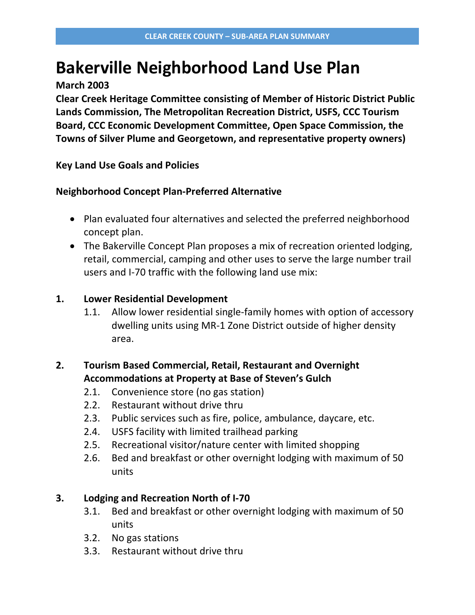## **Bakerville Neighborhood Land Use Plan**

**March 2003**

**Clear Creek Heritage Committee consisting of Member of Historic District Public Lands Commission, The Metropolitan Recreation District, USFS, CCC Tourism Board, CCC Economic Development Committee, Open Space Commission, the Towns of Silver Plume and Georgetown, and representative property owners)**

**Key Land Use Goals and Policies**

## **Neighborhood Concept Plan-Preferred Alternative**

- Plan evaluated four alternatives and selected the preferred neighborhood concept plan.
- The Bakerville Concept Plan proposes a mix of recreation oriented lodging, retail, commercial, camping and other uses to serve the large number trail users and I-70 traffic with the following land use mix:

## **1. Lower Residential Development**

1.1. Allow lower residential single-family homes with option of accessory dwelling units using MR-1 Zone District outside of higher density area.

## **2. Tourism Based Commercial, Retail, Restaurant and Overnight Accommodations at Property at Base of Steven's Gulch**

- 2.1. Convenience store (no gas station)
- 2.2. Restaurant without drive thru
- 2.3. Public services such as fire, police, ambulance, daycare, etc.
- 2.4. USFS facility with limited trailhead parking
- 2.5. Recreational visitor/nature center with limited shopping
- 2.6. Bed and breakfast or other overnight lodging with maximum of 50 units

## **3. Lodging and Recreation North of I-70**

- 3.1. Bed and breakfast or other overnight lodging with maximum of 50 units
- 3.2. No gas stations
- 3.3. Restaurant without drive thru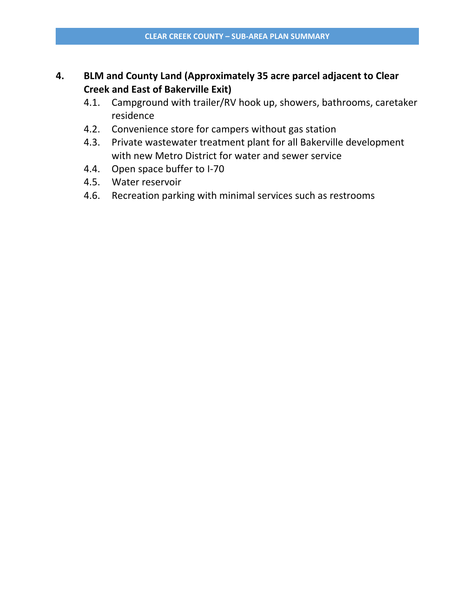## **4. BLM and County Land (Approximately 35 acre parcel adjacent to Clear Creek and East of Bakerville Exit)**

- 4.1. Campground with trailer/RV hook up, showers, bathrooms, caretaker residence
- 4.2. Convenience store for campers without gas station
- 4.3. Private wastewater treatment plant for all Bakerville development with new Metro District for water and sewer service
- 4.4. Open space buffer to I-70
- 4.5. Water reservoir
- 4.6. Recreation parking with minimal services such as restrooms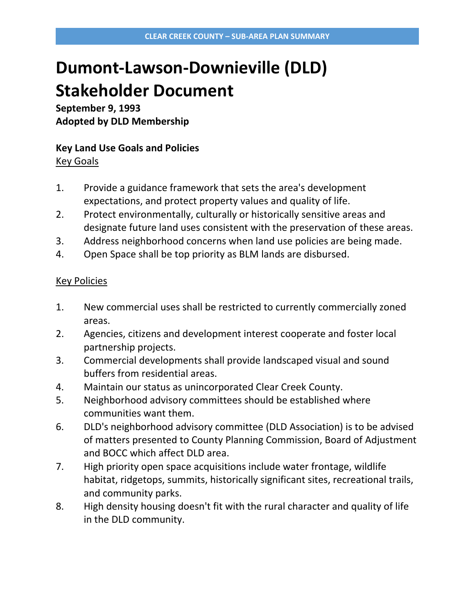# **Dumont-Lawson-Downieville (DLD) Stakeholder Document**

**September 9, 1993 Adopted by DLD Membership**

## **Key Land Use Goals and Policies**

Key Goals

- 1. Provide a guidance framework that sets the area's development expectations, and protect property values and quality of life.
- 2. Protect environmentally, culturally or historically sensitive areas and designate future land uses consistent with the preservation of these areas.
- 3. Address neighborhood concerns when land use policies are being made.
- 4. Open Space shall be top priority as BLM lands are disbursed.

- 1. New commercial uses shall be restricted to currently commercially zoned areas.
- 2. Agencies, citizens and development interest cooperate and foster local partnership projects.
- 3. Commercial developments shall provide landscaped visual and sound buffers from residential areas.
- 4. Maintain our status as unincorporated Clear Creek County.
- 5. Neighborhood advisory committees should be established where communities want them.
- 6. DLD's neighborhood advisory committee (DLD Association) is to be advised of matters presented to County Planning Commission, Board of Adjustment and BOCC which affect DLD area.
- 7. High priority open space acquisitions include water frontage, wildlife habitat, ridgetops, summits, historically significant sites, recreational trails, and community parks.
- 8. High density housing doesn't fit with the rural character and quality of life in the DLD community.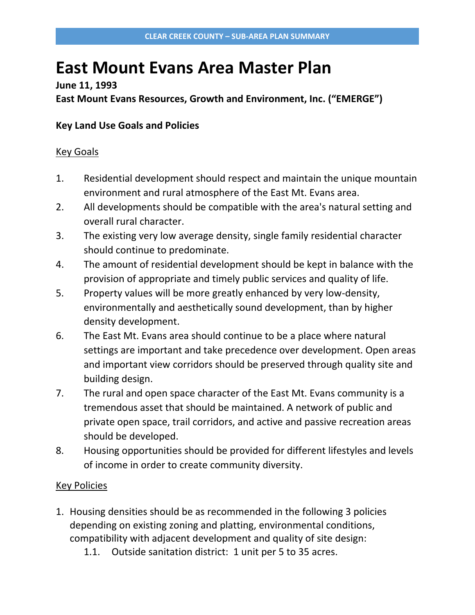## **East Mount Evans Area Master Plan**

### **June 11, 1993**

**East Mount Evans Resources, Growth and Environment, Inc. ("EMERGE")**

## **Key Land Use Goals and Policies**

#### Key Goals

- 1. Residential development should respect and maintain the unique mountain environment and rural atmosphere of the East Mt. Evans area.
- 2. All developments should be compatible with the area's natural setting and overall rural character.
- 3. The existing very low average density, single family residential character should continue to predominate.
- 4. The amount of residential development should be kept in balance with the provision of appropriate and timely public services and quality of life.
- 5. Property values will be more greatly enhanced by very low-density, environmentally and aesthetically sound development, than by higher density development.
- 6. The East Mt. Evans area should continue to be a place where natural settings are important and take precedence over development. Open areas and important view corridors should be preserved through quality site and building design.
- 7. The rural and open space character of the East Mt. Evans community is a tremendous asset that should be maintained. A network of public and private open space, trail corridors, and active and passive recreation areas should be developed.
- 8. Housing opportunities should be provided for different lifestyles and levels of income in order to create community diversity.

- 1. Housing densities should be as recommended in the following 3 policies depending on existing zoning and platting, environmental conditions, compatibility with adjacent development and quality of site design:
	- 1.1. Outside sanitation district: 1 unit per 5 to 35 acres.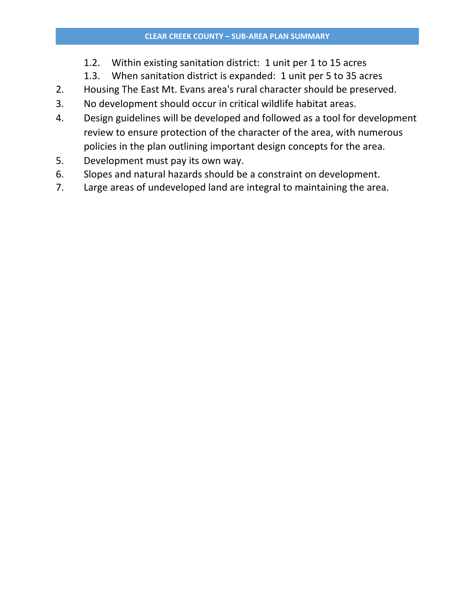- 1.2. Within existing sanitation district: 1 unit per 1 to 15 acres
- 1.3. When sanitation district is expanded: 1 unit per 5 to 35 acres
- 2. Housing The East Mt. Evans area's rural character should be preserved.
- 3. No development should occur in critical wildlife habitat areas.
- 4. Design guidelines will be developed and followed as a tool for development review to ensure protection of the character of the area, with numerous policies in the plan outlining important design concepts for the area.
- 5. Development must pay its own way.
- 6. Slopes and natural hazards should be a constraint on development.
- 7. Large areas of undeveloped land are integral to maintaining the area.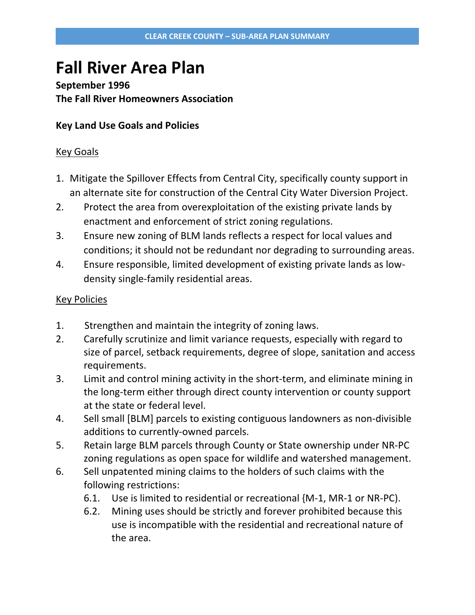## **Fall River Area Plan**

## **September 1996 The Fall River Homeowners Association**

### **Key Land Use Goals and Policies**

#### Key Goals

- 1. Mitigate the Spillover Effects from Central City, specifically county support in an alternate site for construction of the Central City Water Diversion Project.
- 2. Protect the area from overexploitation of the existing private lands by enactment and enforcement of strict zoning regulations.
- 3. Ensure new zoning of BLM lands reflects a respect for local values and conditions; it should not be redundant nor degrading to surrounding areas.
- 4. Ensure responsible, limited development of existing private lands as lowdensity single-family residential areas.

- 1. Strengthen and maintain the integrity of zoning laws.
- 2. Carefully scrutinize and limit variance requests, especially with regard to size of parcel, setback requirements, degree of slope, sanitation and access requirements.
- 3. Limit and control mining activity in the short-term, and eliminate mining in the long-term either through direct county intervention or county support at the state or federal level.
- 4. Sell small [BLM] parcels to existing contiguous landowners as non-divisible additions to currently-owned parcels.
- 5. Retain large BLM parcels through County or State ownership under NR-PC zoning regulations as open space for wildlife and watershed management.
- 6. Sell unpatented mining claims to the holders of such claims with the following restrictions:
	- 6.1. Use is limited to residential or recreational {M-1, MR-1 or NR-PC).
	- 6.2. Mining uses should be strictly and forever prohibited because this use is incompatible with the residential and recreational nature of the area.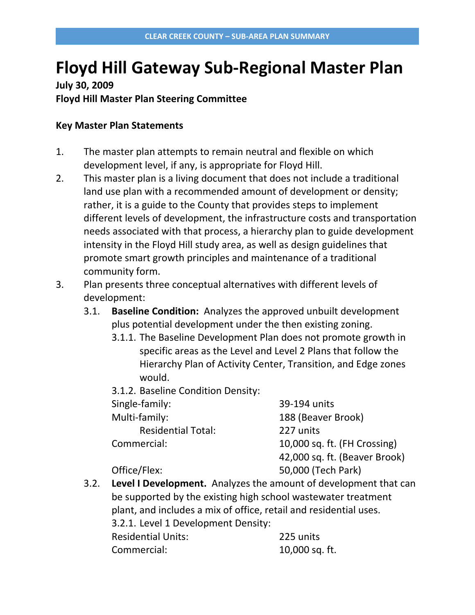## **Floyd Hill Gateway Sub-Regional Master Plan**

**July 30, 2009 Floyd Hill Master Plan Steering Committee**

#### **Key Master Plan Statements**

- 1. The master plan attempts to remain neutral and flexible on which development level, if any, is appropriate for Floyd Hill.
- 2. This master plan is a living document that does not include a traditional land use plan with a recommended amount of development or density; rather, it is a guide to the County that provides steps to implement different levels of development, the infrastructure costs and transportation needs associated with that process, a hierarchy plan to guide development intensity in the Floyd Hill study area, as well as design guidelines that promote smart growth principles and maintenance of a traditional community form.
- 3. Plan presents three conceptual alternatives with different levels of development:
	- 3.1. **Baseline Condition:** Analyzes the approved unbuilt development plus potential development under the then existing zoning.
		- 3.1.1. The Baseline Development Plan does not promote growth in specific areas as the Level and Level 2 Plans that follow the Hierarchy Plan of Activity Center, Transition, and Edge zones would.
		- 3.1.2. Baseline Condition Density:

| Single-family:            | 39-194 units                  |
|---------------------------|-------------------------------|
| Multi-family:             | 188 (Beaver Brook)            |
| <b>Residential Total:</b> | 227 units                     |
| Commercial:               | 10,000 sq. ft. (FH Crossing)  |
|                           | 42,000 sq. ft. (Beaver Brook) |
| Office/Flex:              | 50,000 (Tech Park)            |

3.2. **Level I Development.** Analyzes the amount of development that can be supported by the existing high school wastewater treatment plant, and includes a mix of office, retail and residential uses. 3.2.1. Level 1 Development Density: Residential Units: 225 units Commercial: 10,000 sq. ft.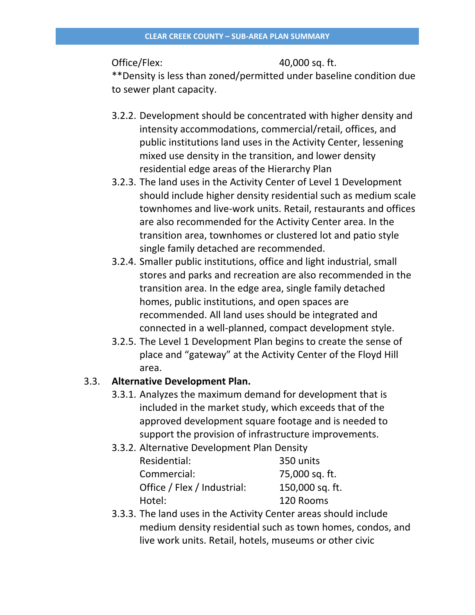Office/Flex: 40,000 sq. ft.

\*\*Density is less than zoned/permitted under baseline condition due to sewer plant capacity.

- 3.2.2. Development should be concentrated with higher density and intensity accommodations, commercial/retail, offices, and public institutions land uses in the Activity Center, lessening mixed use density in the transition, and lower density residential edge areas of the Hierarchy Plan
- 3.2.3. The land uses in the Activity Center of Level 1 Development should include higher density residential such as medium scale townhomes and live-work units. Retail, restaurants and offices are also recommended for the Activity Center area. In the transition area, townhomes or clustered lot and patio style single family detached are recommended.
- 3.2.4. Smaller public institutions, office and light industrial, small stores and parks and recreation are also recommended in the transition area. In the edge area, single family detached homes, public institutions, and open spaces are recommended. All land uses should be integrated and connected in a well-planned, compact development style.
- 3.2.5. The Level 1 Development Plan begins to create the sense of place and "gateway" at the Activity Center of the Floyd Hill area.

## 3.3. **Alternative Development Plan.**

- 3.3.1. Analyzes the maximum demand for development that is included in the market study, which exceeds that of the approved development square footage and is needed to support the provision of infrastructure improvements.
- 3.3.2. Alternative Development Plan Density

| Residential:                | 350 units       |
|-----------------------------|-----------------|
| Commercial:                 | 75,000 sq. ft.  |
| Office / Flex / Industrial: | 150,000 sq. ft. |
| Hotel:                      | 120 Rooms       |

3.3.3. The land uses in the Activity Center areas should include medium density residential such as town homes, condos, and live work units. Retail, hotels, museums or other civic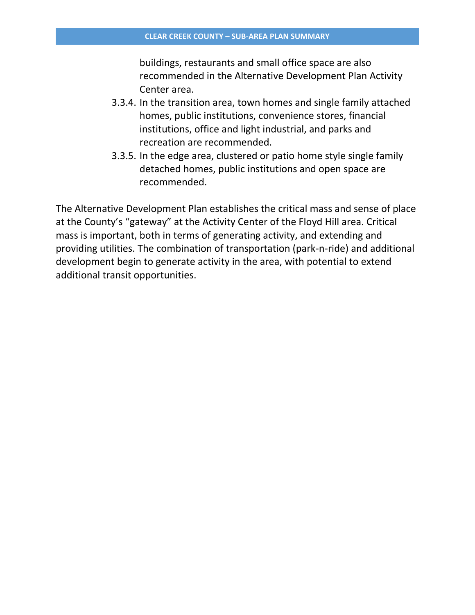buildings, restaurants and small office space are also recommended in the Alternative Development Plan Activity Center area.

- 3.3.4. In the transition area, town homes and single family attached homes, public institutions, convenience stores, financial institutions, office and light industrial, and parks and recreation are recommended.
- 3.3.5. In the edge area, clustered or patio home style single family detached homes, public institutions and open space are recommended.

The Alternative Development Plan establishes the critical mass and sense of place at the County's "gateway" at the Activity Center of the Floyd Hill area. Critical mass is important, both in terms of generating activity, and extending and providing utilities. The combination of transportation (park-n-ride) and additional development begin to generate activity in the area, with potential to extend additional transit opportunities.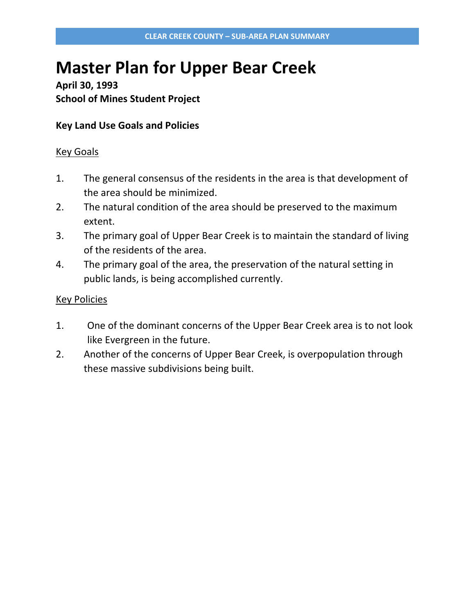## **Master Plan for Upper Bear Creek**

**April 30, 1993 School of Mines Student Project**

### **Key Land Use Goals and Policies**

#### Key Goals

- 1. The general consensus of the residents in the area is that development of the area should be minimized.
- 2. The natural condition of the area should be preserved to the maximum extent.
- 3. The primary goal of Upper Bear Creek is to maintain the standard of living of the residents of the area.
- 4. The primary goal of the area, the preservation of the natural setting in public lands, is being accomplished currently.

- 1. One of the dominant concerns of the Upper Bear Creek area is to not look like Evergreen in the future.
- 2. Another of the concerns of Upper Bear Creek, is overpopulation through these massive subdivisions being built.